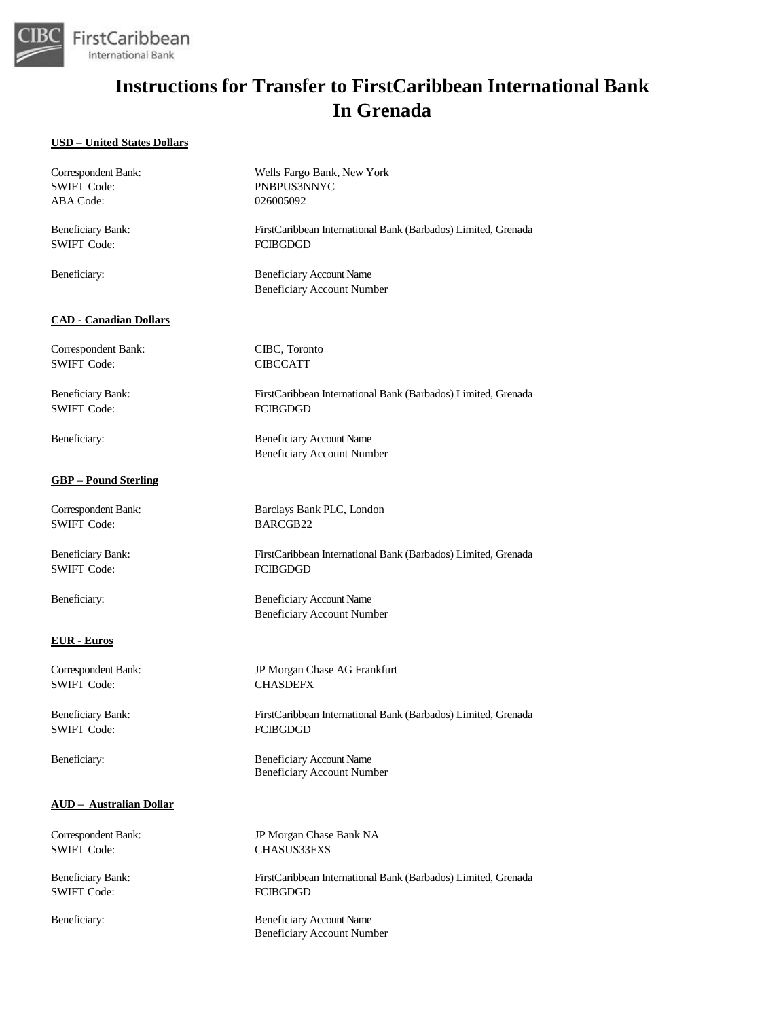

#### **USD – United States Dollars**

| Correspondent Bank:            | Wells Fargo Bank, New York                                           |
|--------------------------------|----------------------------------------------------------------------|
| <b>SWIFT Code:</b>             | PNBPUS3NNYC                                                          |
| ABA Code:                      | 026005092                                                            |
| <b>Beneficiary Bank:</b>       | FirstCaribbean International Bank (Barbados) Limited, Grenada        |
| <b>SWIFT Code:</b>             | <b>FCIBGDGD</b>                                                      |
| Beneficiary:                   | <b>Beneficiary Account Name</b><br><b>Beneficiary Account Number</b> |
| <b>CAD - Canadian Dollars</b>  |                                                                      |
| Correspondent Bank:            | CIBC, Toronto                                                        |
| <b>SWIFT Code:</b>             | <b>CIBCCATT</b>                                                      |
| Beneficiary Bank:              | FirstCaribbean International Bank (Barbados) Limited, Grenada        |
| <b>SWIFT Code:</b>             | <b>FCIBGDGD</b>                                                      |
| Beneficiary:                   | Beneficiary Account Name                                             |
|                                | <b>Beneficiary Account Number</b>                                    |
| <b>GBP</b> – Pound Sterling    |                                                                      |
| Correspondent Bank:            | Barclays Bank PLC, London                                            |
| <b>SWIFT Code:</b>             | BARCGB22                                                             |
| <b>Beneficiary Bank:</b>       | FirstCaribbean International Bank (Barbados) Limited, Grenada        |
| <b>SWIFT Code:</b>             | <b>FCIBGDGD</b>                                                      |
| Beneficiary:                   | <b>Beneficiary Account Name</b><br><b>Beneficiary Account Number</b> |
| <b>EUR</b> - Euros             |                                                                      |
| Correspondent Bank:            | JP Morgan Chase AG Frankfurt                                         |
| <b>SWIFT Code:</b>             | <b>CHASDEFX</b>                                                      |
| <b>Beneficiary Bank:</b>       | FirstCaribbean International Bank (Barbados) Limited, Grenada        |
| <b>SWIFT Code:</b>             | <b>FCIBGDGD</b>                                                      |
| Beneficiary:                   | <b>Beneficiary Account Name</b><br><b>Beneficiary Account Number</b> |
| <b>AUD</b> - Australian Dollar |                                                                      |
| Correspondent Bank:            | JP Morgan Chase Bank NA                                              |
| <b>SWIFT Code:</b>             | CHASUS33FXS                                                          |
| Beneficiary Bank:              | FirstCaribbean International Bank (Barbados) Limited, Grenada        |
| <b>SWIFT Code:</b>             | <b>FCIBGDGD</b>                                                      |
| Beneficiary:                   | <b>Beneficiary Account Name</b>                                      |
|                                | <b>Beneficiary Account Number</b>                                    |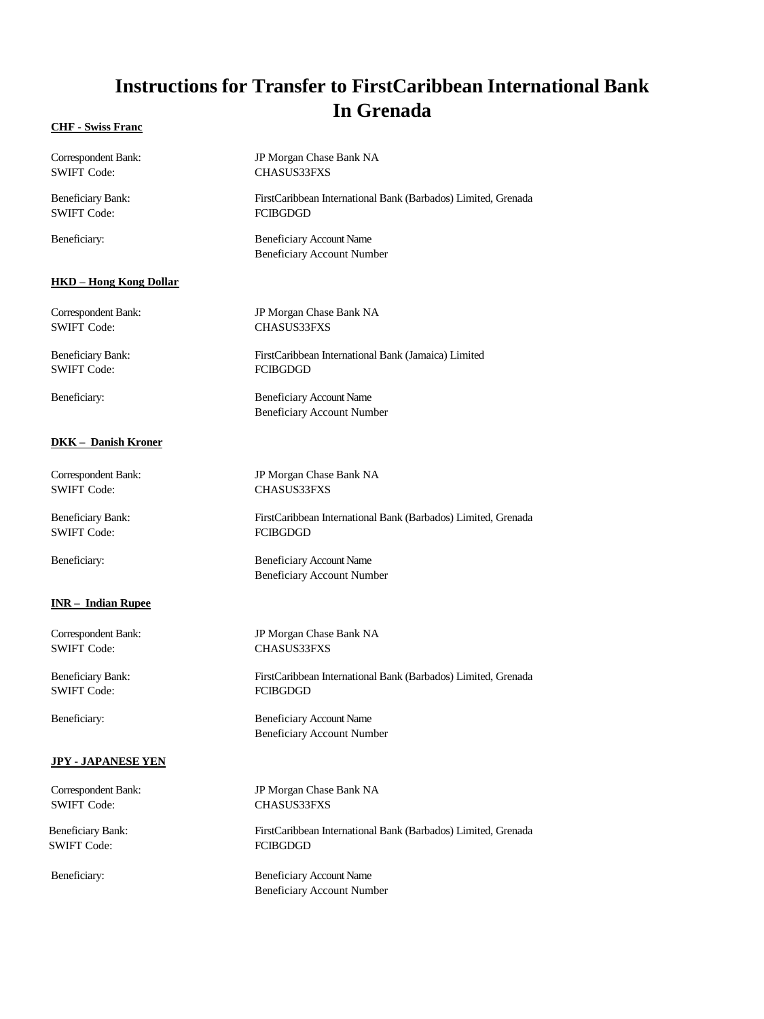#### **CHF - Swiss Franc**

| Correspondent Bank:           | JP Morgan Chase Bank NA                                              |
|-------------------------------|----------------------------------------------------------------------|
| <b>SWIFT Code:</b>            | <b>CHASUS33FXS</b>                                                   |
| <b>Beneficiary Bank:</b>      | FirstCaribbean International Bank (Barbados) Limited, Grenada        |
| <b>SWIFT Code:</b>            | <b>FCIBGDGD</b>                                                      |
| Beneficiary:                  | <b>Beneficiary Account Name</b><br><b>Beneficiary Account Number</b> |
| <b>HKD</b> - Hong Kong Dollar |                                                                      |
| Correspondent Bank:           | JP Morgan Chase Bank NA                                              |
| <b>SWIFT Code:</b>            | <b>CHASUS33FXS</b>                                                   |
| <b>Beneficiary Bank:</b>      | FirstCaribbean International Bank (Jamaica) Limited                  |
| <b>SWIFT Code:</b>            | <b>FCIBGDGD</b>                                                      |
| Beneficiary:                  | <b>Beneficiary Account Name</b><br><b>Beneficiary Account Number</b> |
| <b>DKK - Danish Kroner</b>    |                                                                      |
| Correspondent Bank:           | JP Morgan Chase Bank NA                                              |
| <b>SWIFT Code:</b>            | <b>CHASUS33FXS</b>                                                   |
| <b>Beneficiary Bank:</b>      | FirstCaribbean International Bank (Barbados) Limited, Grenada        |
| <b>SWIFT Code:</b>            | <b>FCIBGDGD</b>                                                      |
| Beneficiary:                  | <b>Beneficiary Account Name</b><br><b>Beneficiary Account Number</b> |
| <b>INR-Indian Rupee</b>       |                                                                      |
| Correspondent Bank:           | JP Morgan Chase Bank NA                                              |
| <b>SWIFT Code:</b>            | <b>CHASUS33FXS</b>                                                   |
| <b>Beneficiary Bank:</b>      | FirstCaribbean International Bank (Barbados) Limited, Grenada        |
| <b>SWIFT Code:</b>            | <b>FCIBGDGD</b>                                                      |
| Beneficiary:                  | <b>Beneficiary Account Name</b><br><b>Beneficiary Account Number</b> |
| <b>JPY - JAPANESE YEN</b>     |                                                                      |
| Correspondent Bank:           | JP Morgan Chase Bank NA                                              |
| <b>SWIFT Code:</b>            | CHASUS33FXS                                                          |
| <b>Beneficiary Bank:</b>      | FirstCaribbean International Bank (Barbados) Limited, Grenada        |
| <b>SWIFT Code:</b>            | <b>FCIBGDGD</b>                                                      |
| Beneficiary:                  | <b>Beneficiary Account Name</b><br><b>Beneficiary Account Number</b> |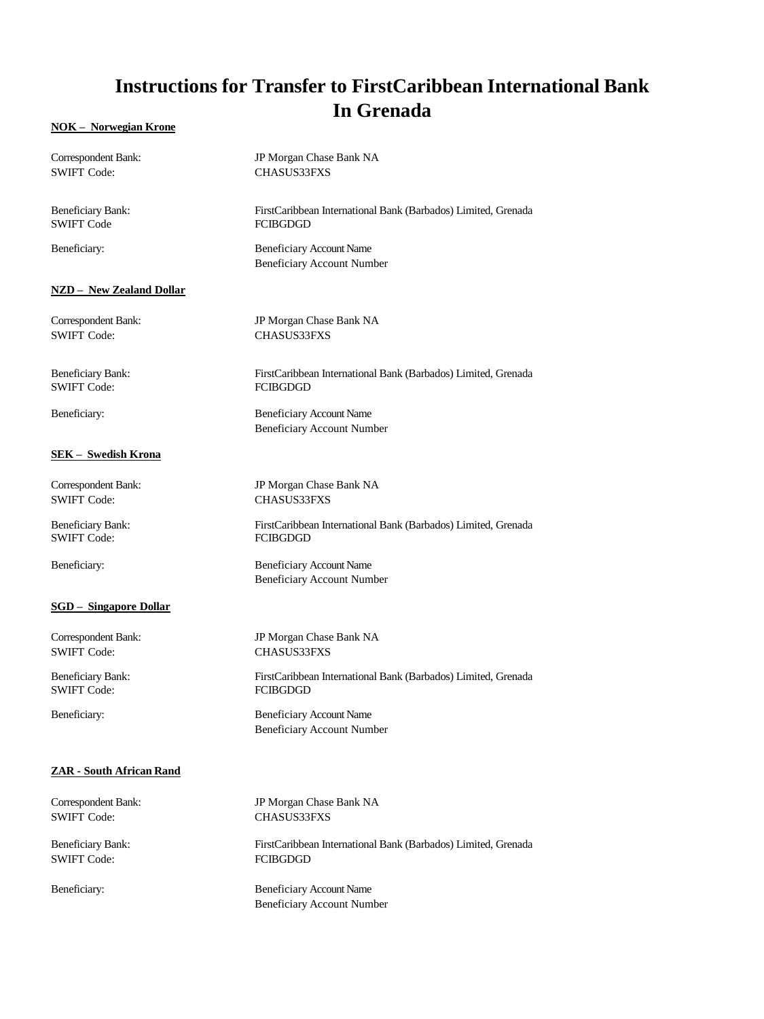#### **NOK – Norwegian Krone**

| Correspondent Bank:             | JP Morgan Chase Bank NA                                              |
|---------------------------------|----------------------------------------------------------------------|
| <b>SWIFT Code:</b>              | CHASUS33FXS                                                          |
| <b>Beneficiary Bank:</b>        | FirstCaribbean International Bank (Barbados) Limited, Grenada        |
| <b>SWIFT Code</b>               | <b>FCIBGDGD</b>                                                      |
| Beneficiary:                    | <b>Beneficiary Account Name</b><br><b>Beneficiary Account Number</b> |
| <b>NZD</b> - New Zealand Dollar |                                                                      |
| Correspondent Bank:             | JP Morgan Chase Bank NA                                              |
| <b>SWIFT Code:</b>              | CHASUS33FXS                                                          |
| <b>Beneficiary Bank:</b>        | FirstCaribbean International Bank (Barbados) Limited, Grenada        |
| <b>SWIFT Code:</b>              | <b>FCIBGDGD</b>                                                      |
| Beneficiary:                    | <b>Beneficiary Account Name</b><br><b>Beneficiary Account Number</b> |
| <b>SEK</b> - Swedish Krona      |                                                                      |
| Correspondent Bank:             | JP Morgan Chase Bank NA                                              |
| <b>SWIFT Code:</b>              | CHASUS33FXS                                                          |
| <b>Beneficiary Bank:</b>        | FirstCaribbean International Bank (Barbados) Limited, Grenada        |
| <b>SWIFT Code:</b>              | <b>FCIBGDGD</b>                                                      |
| Beneficiary:                    | <b>Beneficiary Account Name</b><br><b>Beneficiary Account Number</b> |
| <b>SGD</b> - Singapore Dollar   |                                                                      |
| Correspondent Bank:             | JP Morgan Chase Bank NA                                              |
| <b>SWIFT Code:</b>              | CHASUS33FXS                                                          |
| <b>Beneficiary Bank:</b>        | FirstCaribbean International Bank (Barbados) Limited, Grenada        |
| <b>SWIFT Code:</b>              | <b>FCIBGDGD</b>                                                      |
| Beneficiary:                    | <b>Beneficiary Account Name</b><br><b>Beneficiary Account Number</b> |
| ZAR - South African Rand        |                                                                      |
| Correspondent Bank:             | JP Morgan Chase Bank NA                                              |
| <b>SWIFT Code:</b>              | CHASUS33FXS                                                          |
| <b>Beneficiary Bank:</b>        | FirstCaribbean International Bank (Barbados) Limited, Grenada        |
| <b>SWIFT Code:</b>              | <b>FCIBGDGD</b>                                                      |
| Beneficiary:                    | <b>Beneficiary Account Name</b><br><b>Beneficiary Account Number</b> |